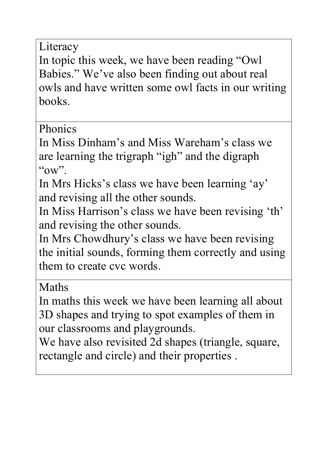Literacy

In topic this week, we have been reading "Owl Babies." We've also been finding out about real owls and have written some owl facts in our writing books.

Phonics

In Miss Dinham's and Miss Wareham's class we are learning the trigraph "igh" and the digraph  $\omega$ ".

In Mrs Hicks's class we have been learning 'ay' and revising all the other sounds.

In Miss Harrison's class we have been revising 'th' and revising the other sounds.

In Mrs Chowdhury's class we have been revising the initial sounds, forming them correctly and using them to create cvc words.

Maths

In maths this week we have been learning all about 3D shapes and trying to spot examples of them in our classrooms and playgrounds.

We have also revisited 2d shapes (triangle, square, rectangle and circle) and their properties .